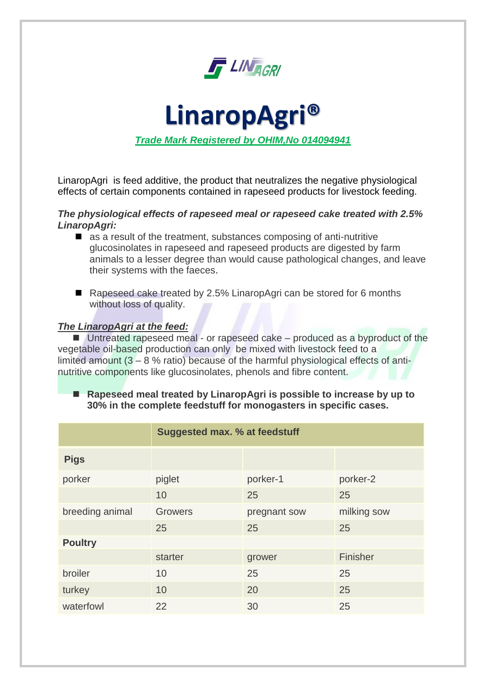

**LinaropAgri®** *Trade Mark Registered by OHIM,No 014094941*

LinaropAgri is feed additive, the product that neutralizes the negative physiological effects of certain components contained in rapeseed products for livestock feeding.

## *The physiological effects of rapeseed meal or rapeseed cake treated with 2.5% LinaropAgri:*

- $\blacksquare$  as a result of the treatment, substances composing of anti-nutritive glucosinolates in rapeseed and rapeseed products are digested by farm animals to a lesser degree than would cause pathological changes, and leave their systems with the faeces.
- Rapeseed cake treated by 2.5% LinaropAgri can be stored for 6 months without loss of quality.

# *The LinaropAgri at the feed:*

■ Untreated rapeseed meal - or rapeseed cake – produced as a byproduct of the vegetable oil-based production can only be mixed with livestock feed to a limited amount (3 – 8 % ratio) because of the harmful physiological effects of antinutritive components like glucosinolates, phenols and fibre content.

■ Rapeseed meal treated by LinaropAgri is possible to increase by up to **30% in the complete feedstuff for monogasters in specific cases.**

|                 | <b>Suggested max. % at feedstuff</b> |              |             |  |
|-----------------|--------------------------------------|--------------|-------------|--|
| <b>Pigs</b>     |                                      |              |             |  |
| porker          | piglet                               | porker-1     | porker-2    |  |
|                 | 10                                   | 25           | 25          |  |
| breeding animal | <b>Growers</b>                       | pregnant sow | milking sow |  |
|                 | 25                                   | 25           | 25          |  |
| <b>Poultry</b>  |                                      |              |             |  |
|                 | starter                              | grower       | Finisher    |  |
| broiler         | 10                                   | 25           | 25          |  |
| turkey          | 10                                   | 20           | 25          |  |
| waterfowl       | 22                                   | 30           | 25          |  |